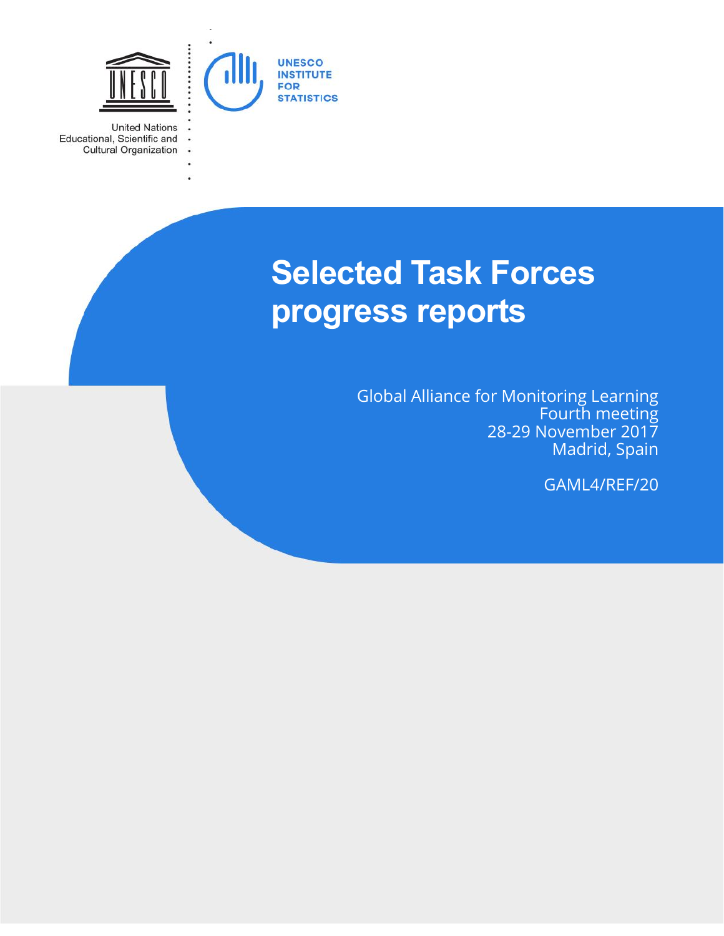

 $\ddot{\phantom{a}}$ 

 $\cdot$ 

**United Nations** Educational, Scientific and Cultural Organization

# **Selected Task Forces progress reports**

Global Alliance for Monitoring Learning Fourth meeting 28-29 November 2017 Madrid, Spain

GAML4/REF/20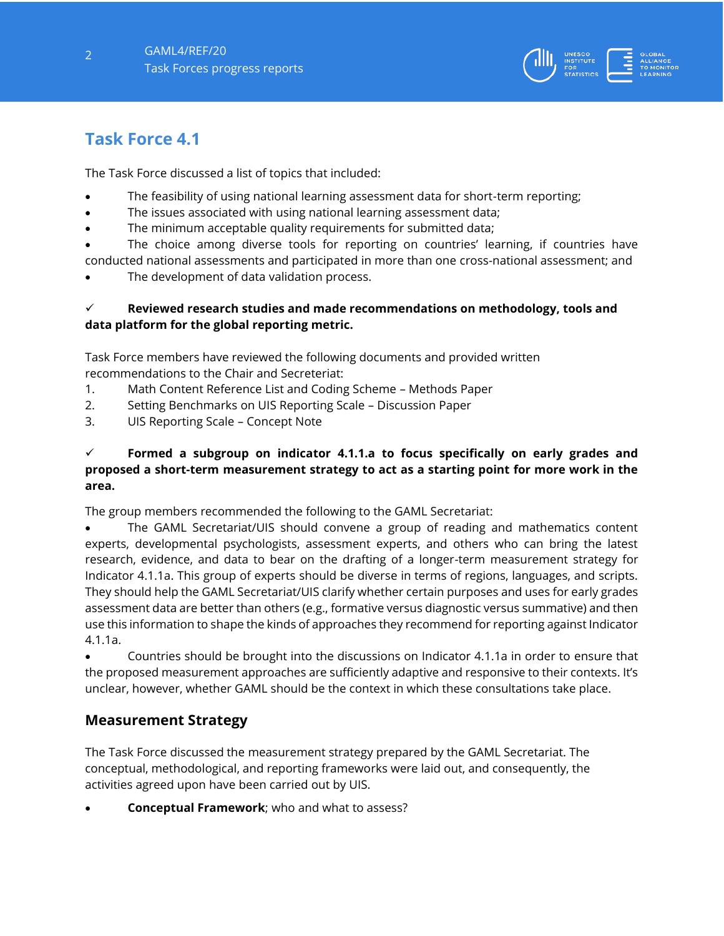

# **Task Force 4.1**

The Task Force discussed a list of topics that included:

- The feasibility of using national learning assessment data for short-term reporting;
- The issues associated with using national learning assessment data;
- The minimum acceptable quality requirements for submitted data;

 The choice among diverse tools for reporting on countries' learning, if countries have conducted national assessments and participated in more than one cross-national assessment; and

The development of data validation process.

#### **Reviewed research studies and made recommendations on methodology, tools and data platform for the global reporting metric.**

Task Force members have reviewed the following documents and provided written recommendations to the Chair and Secreteriat:

- 1. Math Content Reference List and Coding Scheme Methods Paper
- 2. Setting Benchmarks on UIS Reporting Scale Discussion Paper
- 3. UIS Reporting Scale Concept Note

#### **Formed a subgroup on indicator 4.1.1.a to focus specifically on early grades and proposed a short-term measurement strategy to act as a starting point for more work in the area.**

The group members recommended the following to the GAML Secretariat:

 The GAML Secretariat/UIS should convene a group of reading and mathematics content experts, developmental psychologists, assessment experts, and others who can bring the latest research, evidence, and data to bear on the drafting of a longer-term measurement strategy for Indicator 4.1.1a. This group of experts should be diverse in terms of regions, languages, and scripts. They should help the GAML Secretariat/UIS clarify whether certain purposes and uses for early grades assessment data are better than others (e.g., formative versus diagnostic versus summative) and then use this information to shape the kinds of approaches they recommend for reporting against Indicator 4.1.1a.

 Countries should be brought into the discussions on Indicator 4.1.1a in order to ensure that the proposed measurement approaches are sufficiently adaptive and responsive to their contexts. It's unclear, however, whether GAML should be the context in which these consultations take place.

## **Measurement Strategy**

The Task Force discussed the measurement strategy prepared by the GAML Secretariat. The conceptual, methodological, and reporting frameworks were laid out, and consequently, the activities agreed upon have been carried out by UIS.

**Conceptual Framework**; who and what to assess?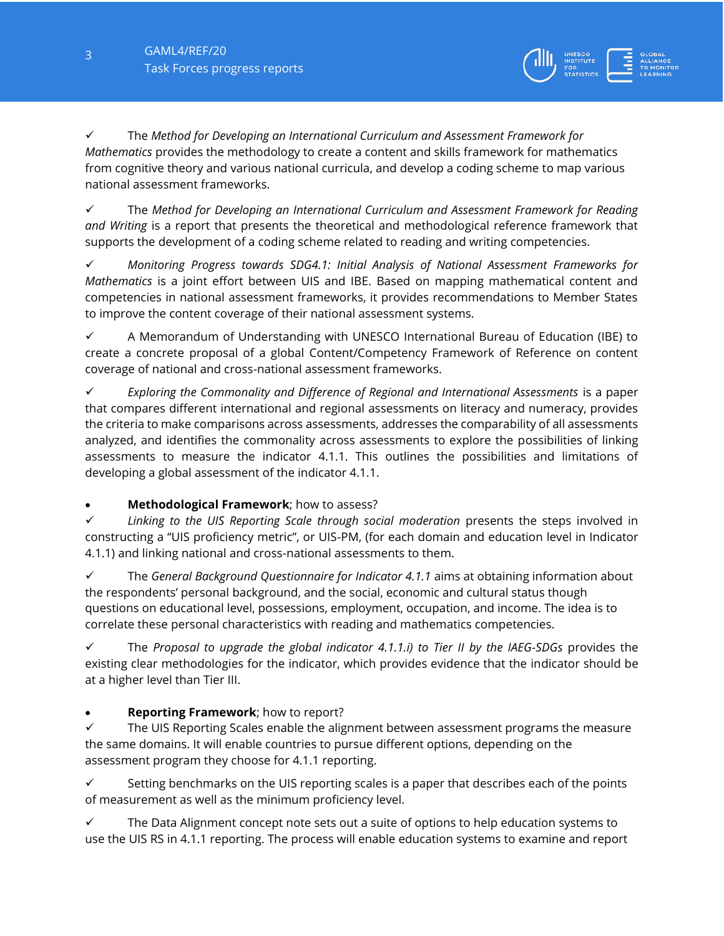The *Method for Developing an International Curriculum and Assessment Framework for Mathematics* provides the methodology to create a content and skills framework for mathematics from cognitive theory and various national curricula, and develop a coding scheme to map various national assessment frameworks.

 The *Method for Developing an International Curriculum and Assessment Framework for Reading and Writing* is a report that presents the theoretical and methodological reference framework that supports the development of a coding scheme related to reading and writing competencies.

 *Monitoring Progress towards SDG4.1: Initial Analysis of National Assessment Frameworks for Mathematics* is a joint effort between UIS and IBE. Based on mapping mathematical content and competencies in national assessment frameworks, it provides recommendations to Member States to improve the content coverage of their national assessment systems.

 $\checkmark$  A Memorandum of Understanding with UNESCO International Bureau of Education (IBE) to create a concrete proposal of a global Content/Competency Framework of Reference on content coverage of national and cross-national assessment frameworks.

 *Exploring the Commonality and Difference of Regional and International Assessments* is a paper that compares different international and regional assessments on literacy and numeracy, provides the criteria to make comparisons across assessments, addresses the comparability of all assessments analyzed, and identifies the commonality across assessments to explore the possibilities of linking assessments to measure the indicator 4.1.1. This outlines the possibilities and limitations of developing a global assessment of the indicator 4.1.1.

## **Methodological Framework**; how to assess?

 *Linking to the UIS Reporting Scale through social moderation* presents the steps involved in constructing a "UIS proficiency metric", or UIS-PM, (for each domain and education level in Indicator 4.1.1) and linking national and cross-national assessments to them.

 The *General Background Questionnaire for Indicator 4.1.1* aims at obtaining information about the respondents' personal background, and the social, economic and cultural status though questions on educational level, possessions, employment, occupation, and income. The idea is to correlate these personal characteristics with reading and mathematics competencies.

 $\checkmark$  The *Proposal to upgrade the global indicator 4.1.1.i) to Tier II by the IAEG-SDGs provides the* existing clear methodologies for the indicator, which provides evidence that the indicator should be at a higher level than Tier III.

## **Reporting Framework**; how to report?

 $\checkmark$  The UIS Reporting Scales enable the alignment between assessment programs the measure the same domains. It will enable countries to pursue different options, depending on the assessment program they choose for 4.1.1 reporting.

 $\checkmark$  Setting benchmarks on the UIS reporting scales is a paper that describes each of the points of measurement as well as the minimum proficiency level.

 $\checkmark$  The Data Alignment concept note sets out a suite of options to help education systems to use the UIS RS in 4.1.1 reporting. The process will enable education systems to examine and report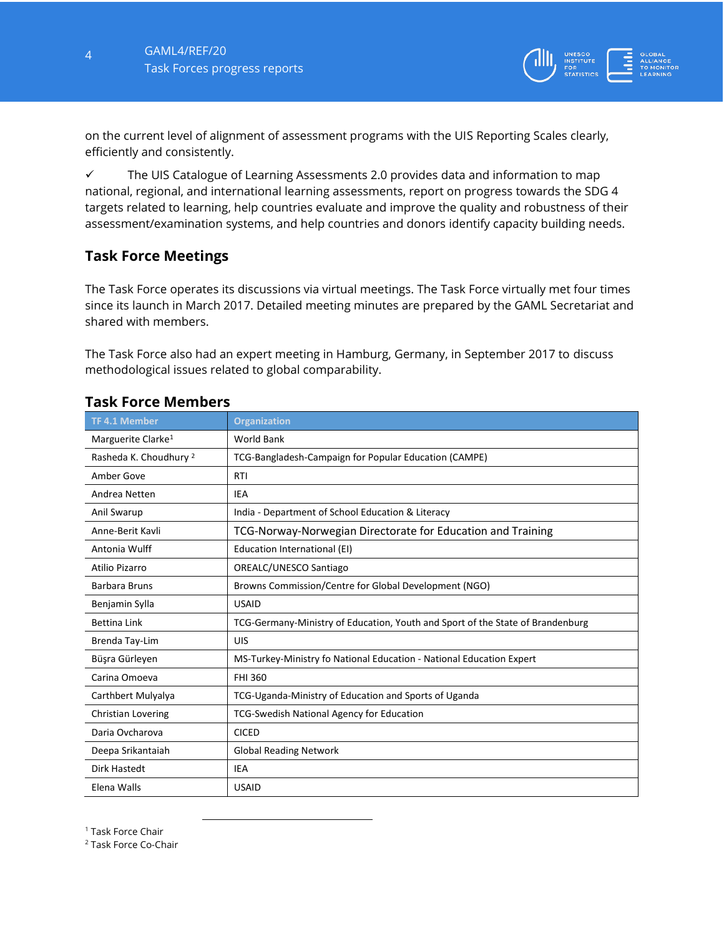

on the current level of alignment of assessment programs with the UIS Reporting Scales clearly, efficiently and consistently.

 $\checkmark$  The UIS Catalogue of Learning Assessments 2.0 provides data and information to map national, regional, and international learning assessments, report on progress towards the SDG 4 targets related to learning, help countries evaluate and improve the quality and robustness of their assessment/examination systems, and help countries and donors identify capacity building needs.

#### **Task Force Meetings**

The Task Force operates its discussions via virtual meetings. The Task Force virtually met four times since its launch in March 2017. Detailed meeting minutes are prepared by the GAML Secretariat and shared with members.

The Task Force also had an expert meeting in Hamburg, Germany, in September 2017 to discuss methodological issues related to global comparability.

| <b>TF 4.1 Member</b>              | <b>Organization</b>                                                            |
|-----------------------------------|--------------------------------------------------------------------------------|
| Marguerite Clarke <sup>1</sup>    | <b>World Bank</b>                                                              |
| Rasheda K. Choudhury <sup>2</sup> | TCG-Bangladesh-Campaign for Popular Education (CAMPE)                          |
| Amber Gove                        | <b>RTI</b>                                                                     |
| Andrea Netten                     | <b>IEA</b>                                                                     |
| Anil Swarup                       | India - Department of School Education & Literacy                              |
| Anne-Berit Kavli                  | TCG-Norway-Norwegian Directorate for Education and Training                    |
| Antonia Wulff                     | Education International (EI)                                                   |
| Atilio Pizarro                    | OREALC/UNESCO Santiago                                                         |
| <b>Barbara Bruns</b>              | Browns Commission/Centre for Global Development (NGO)                          |
| Benjamin Sylla                    | <b>USAID</b>                                                                   |
| <b>Bettina Link</b>               | TCG-Germany-Ministry of Education, Youth and Sport of the State of Brandenburg |
| Brenda Tay-Lim                    | UIS                                                                            |
| Büşra Gürleyen                    | MS-Turkey-Ministry fo National Education - National Education Expert           |
| Carina Omoeva                     | <b>FHI 360</b>                                                                 |
| Carthbert Mulyalya                | TCG-Uganda-Ministry of Education and Sports of Uganda                          |
| <b>Christian Lovering</b>         | <b>TCG-Swedish National Agency for Education</b>                               |
| Daria Ovcharova                   | <b>CICED</b>                                                                   |
| Deepa Srikantaiah                 | <b>Global Reading Network</b>                                                  |
| Dirk Hastedt                      | IEA                                                                            |
| Elena Walls                       | <b>USAID</b>                                                                   |

## **Task Force Members**

<sup>1</sup> Task Force Chair

<sup>2</sup> Task Force Co-Chair

l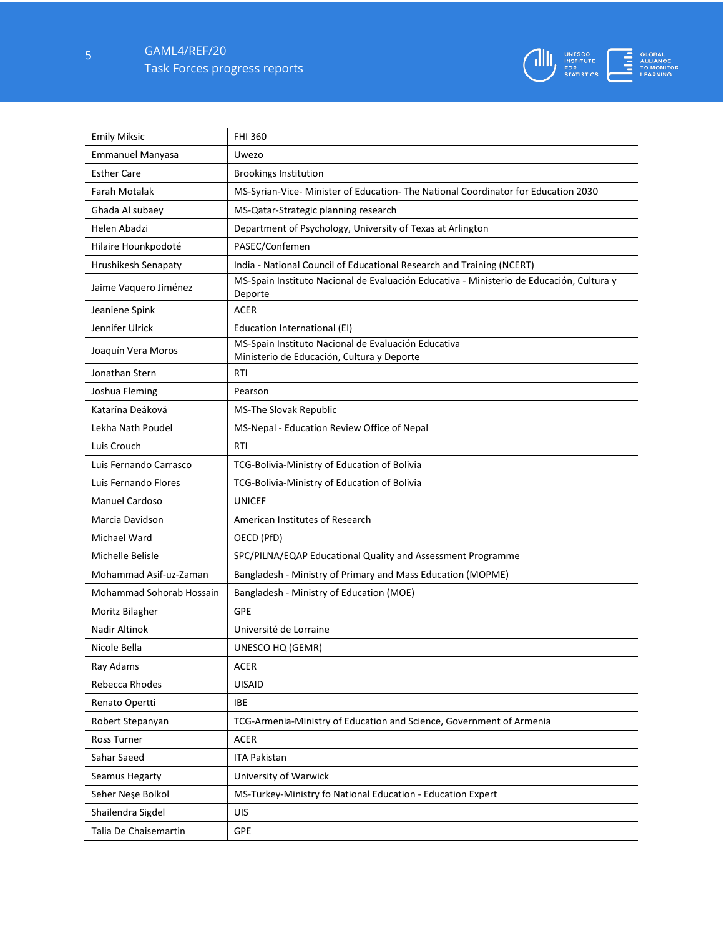5 GAML4/REF/20 Task Forces progress reports



| <b>Emily Miksic</b>      | <b>FHI 360</b>                                                                                      |
|--------------------------|-----------------------------------------------------------------------------------------------------|
| <b>Emmanuel Manyasa</b>  | Uwezo                                                                                               |
| <b>Esther Care</b>       | <b>Brookings Institution</b>                                                                        |
| Farah Motalak            | MS-Syrian-Vice- Minister of Education- The National Coordinator for Education 2030                  |
| Ghada Al subaey          | MS-Qatar-Strategic planning research                                                                |
| Helen Abadzi             | Department of Psychology, University of Texas at Arlington                                          |
| Hilaire Hounkpodoté      | PASEC/Confemen                                                                                      |
| Hrushikesh Senapaty      | India - National Council of Educational Research and Training (NCERT)                               |
| Jaime Vaquero Jiménez    | MS-Spain Instituto Nacional de Evaluación Educativa - Ministerio de Educación, Cultura y<br>Deporte |
| Jeaniene Spink           | <b>ACER</b>                                                                                         |
| Jennifer Ulrick          | Education International (EI)                                                                        |
| Joaquín Vera Moros       | MS-Spain Instituto Nacional de Evaluación Educativa<br>Ministerio de Educación, Cultura y Deporte   |
| Jonathan Stern           | RTI                                                                                                 |
| Joshua Fleming           | Pearson                                                                                             |
| Katarína Deáková         | <b>MS-The Slovak Republic</b>                                                                       |
| Lekha Nath Poudel        | MS-Nepal - Education Review Office of Nepal                                                         |
| Luis Crouch              | RTI                                                                                                 |
| Luis Fernando Carrasco   | TCG-Bolivia-Ministry of Education of Bolivia                                                        |
| Luis Fernando Flores     | TCG-Bolivia-Ministry of Education of Bolivia                                                        |
| <b>Manuel Cardoso</b>    | <b>UNICEF</b>                                                                                       |
| Marcia Davidson          | American Institutes of Research                                                                     |
| Michael Ward             | OECD (PfD)                                                                                          |
| Michelle Belisle         | SPC/PILNA/EQAP Educational Quality and Assessment Programme                                         |
| Mohammad Asif-uz-Zaman   | Bangladesh - Ministry of Primary and Mass Education (MOPME)                                         |
| Mohammad Sohorab Hossain | Bangladesh - Ministry of Education (MOE)                                                            |
| Moritz Bilagher          | <b>GPE</b>                                                                                          |
| Nadir Altinok            | Université de Lorraine                                                                              |
| Nicole Bella             | UNESCO HQ (GEMR)                                                                                    |
| Ray Adams                | <b>ACER</b>                                                                                         |
| Rebecca Rhodes           | <b>UISAID</b>                                                                                       |
| Renato Opertti           | <b>IBE</b>                                                                                          |
| Robert Stepanyan         | TCG-Armenia-Ministry of Education and Science, Government of Armenia                                |
| <b>Ross Turner</b>       | ACER                                                                                                |
| Sahar Saeed              | <b>ITA Pakistan</b>                                                                                 |
| Seamus Hegarty           | University of Warwick                                                                               |
| Seher Neşe Bolkol        | MS-Turkey-Ministry fo National Education - Education Expert                                         |
| Shailendra Sigdel        | UIS                                                                                                 |
| Talia De Chaisemartin    | GPE                                                                                                 |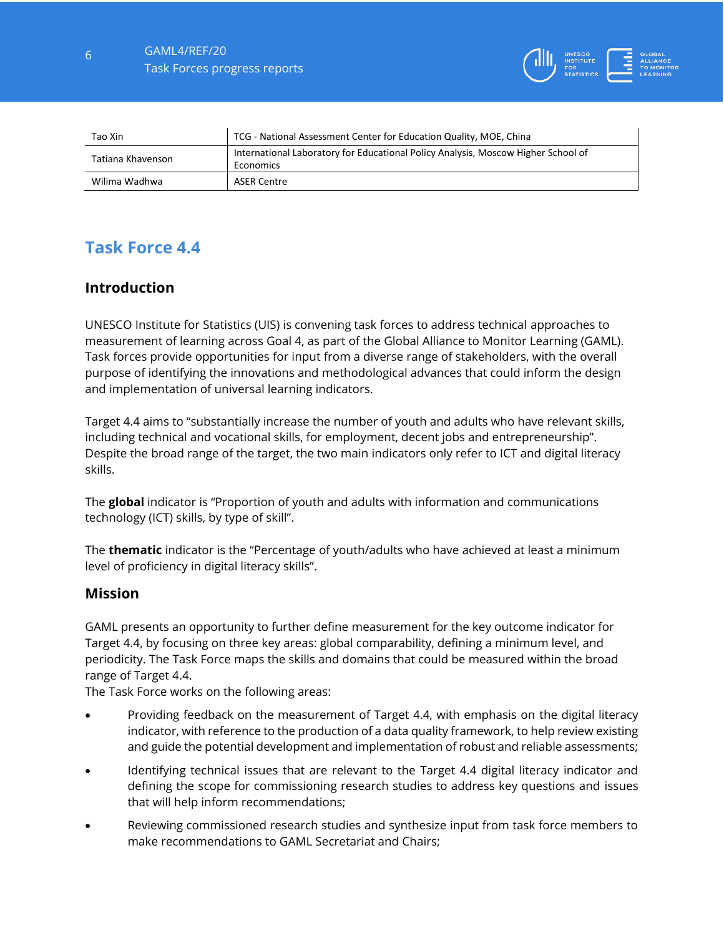

| Tao Xin           | TCG - National Assessment Center for Education Quality, MOE, China                             |
|-------------------|------------------------------------------------------------------------------------------------|
| Tatiana Khavenson | International Laboratory for Educational Policy Analysis, Moscow Higher School of<br>Economics |
| Wilima Wadhwa     | <b>ASER Centre</b>                                                                             |

# **Task Force 4.4**

# **Introduction**

UNESCO Institute for Statistics (UIS) is convening task forces to address technical approaches to measurement of learning across Goal 4, as part of the Global Alliance to Monitor Learning (GAML). Task forces provide opportunities for input from a diverse range of stakeholders, with the overall purpose of identifying the innovations and methodological advances that could inform the design and implementation of universal learning indicators.

Target 4.4 aims to "substantially increase the number of youth and adults who have relevant skills, including technical and vocational skills, for employment, decent jobs and entrepreneurship". Despite the broad range of the target, the two main indicators only refer to ICT and digital literacy skills.

The **global** indicator is "Proportion of youth and adults with information and communications technology (ICT) skills, by type of skill".

The **thematic** indicator is the "Percentage of youth/adults who have achieved at least a minimum level of proficiency in digital literacy skills".

#### **Mission**

GAML presents an opportunity to further define measurement for the key outcome indicator for Target 4.4, by focusing on three key areas: global comparability, defining a minimum level, and periodicity. The Task Force maps the skills and domains that could be measured within the broad range of Target 4.4.

The Task Force works on the following areas:

- Providing feedback on the measurement of Target 4.4, with emphasis on the digital literacy indicator, with reference to the production of a data quality framework, to help review existing and guide the potential development and implementation of robust and reliable assessments;
- Identifying technical issues that are relevant to the Target 4.4 digital literacy indicator and defining the scope for commissioning research studies to address key questions and issues that will help inform recommendations;
- Reviewing commissioned research studies and synthesize input from task force members to make recommendations to GAML Secretariat and Chairs;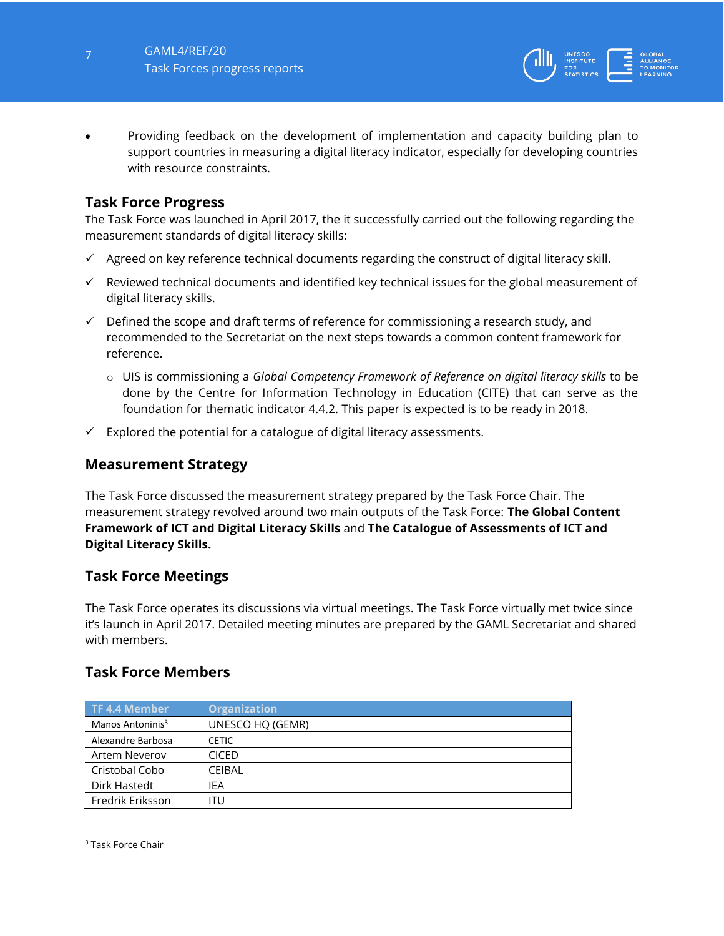

 Providing feedback on the development of implementation and capacity building plan to support countries in measuring a digital literacy indicator, especially for developing countries with resource constraints.

# **Task Force Progress**

The Task Force was launched in April 2017, the it successfully carried out the following regarding the measurement standards of digital literacy skills:

- $\checkmark$  Agreed on key reference technical documents regarding the construct of digital literacy skill.
- $\checkmark$  Reviewed technical documents and identified key technical issues for the global measurement of digital literacy skills.
- $\checkmark$  Defined the scope and draft terms of reference for commissioning a research study, and recommended to the Secretariat on the next steps towards a common content framework for reference.
	- o UIS is commissioning a *Global Competency Framework of Reference on digital literacy skills* to be done by the Centre for Information Technology in Education (CITE) that can serve as the foundation for thematic indicator 4.4.2. This paper is expected is to be ready in 2018.
- $\checkmark$  Explored the potential for a catalogue of digital literacy assessments.

## **Measurement Strategy**

The Task Force discussed the measurement strategy prepared by the Task Force Chair. The measurement strategy revolved around two main outputs of the Task Force: **The Global Content Framework of ICT and Digital Literacy Skills** and **The Catalogue of Assessments of ICT and Digital Literacy Skills.** 

## **Task Force Meetings**

The Task Force operates its discussions via virtual meetings. The Task Force virtually met twice since it's launch in April 2017. Detailed meeting minutes are prepared by the GAML Secretariat and shared with members.

## **Task Force Members**

l

| <b>TF 4.4 Member</b>         | <b>Organization</b> |
|------------------------------|---------------------|
| Manos Antoninis <sup>3</sup> | UNESCO HQ (GEMR)    |
| Alexandre Barbosa            | <b>CETIC</b>        |
| Artem Neverov                | <b>CICED</b>        |
| Cristobal Cobo               | CEIBAL              |
| Dirk Hastedt                 | IEA                 |
| Fredrik Eriksson             | ITU                 |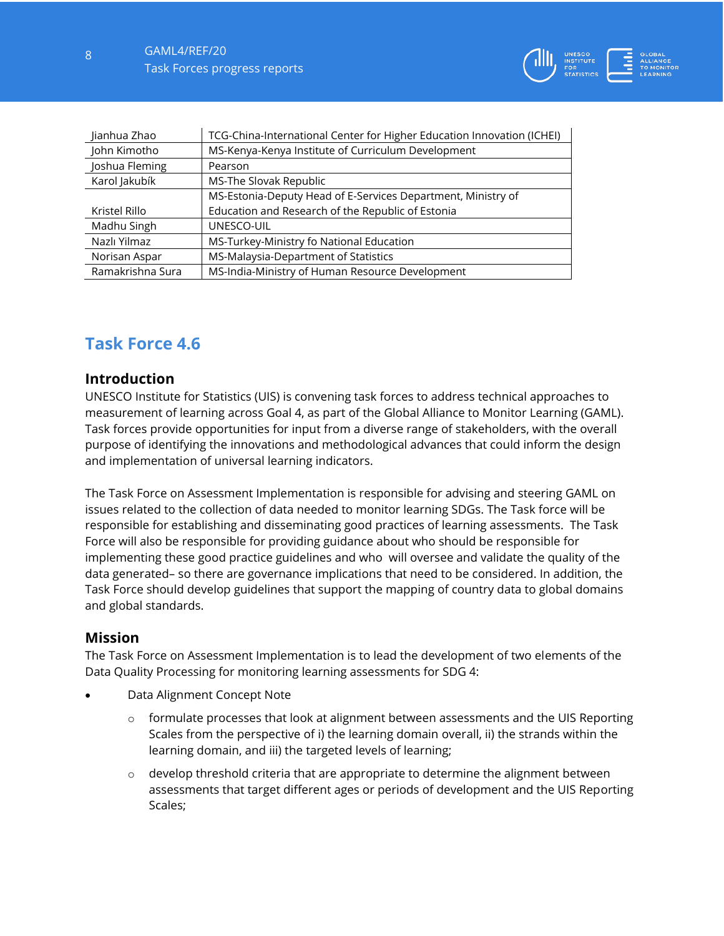| Jianhua Zhao     | TCG-China-International Center for Higher Education Innovation (ICHEI) |
|------------------|------------------------------------------------------------------------|
| John Kimotho     | MS-Kenya-Kenya Institute of Curriculum Development                     |
| Joshua Fleming   | Pearson                                                                |
| Karol Jakubík    | MS-The Slovak Republic                                                 |
|                  | MS-Estonia-Deputy Head of E-Services Department, Ministry of           |
| Kristel Rillo    | Education and Research of the Republic of Estonia                      |
| Madhu Singh      | UNESCO-UIL                                                             |
| Nazlı Yilmaz     | MS-Turkey-Ministry fo National Education                               |
| Norisan Aspar    | MS-Malaysia-Department of Statistics                                   |
| Ramakrishna Sura | MS-India-Ministry of Human Resource Development                        |

# **Task Force 4.6**

#### **Introduction**

UNESCO Institute for Statistics (UIS) is convening task forces to address technical approaches to measurement of learning across Goal 4, as part of the Global Alliance to Monitor Learning (GAML). Task forces provide opportunities for input from a diverse range of stakeholders, with the overall purpose of identifying the innovations and methodological advances that could inform the design and implementation of universal learning indicators.

The Task Force on Assessment Implementation is responsible for advising and steering GAML on issues related to the collection of data needed to monitor learning SDGs. The Task force will be responsible for establishing and disseminating good practices of learning assessments. The Task Force will also be responsible for providing guidance about who should be responsible for implementing these good practice guidelines and who will oversee and validate the quality of the data generated– so there are governance implications that need to be considered. In addition, the Task Force should develop guidelines that support the mapping of country data to global domains and global standards.

#### **Mission**

The Task Force on Assessment Implementation is to lead the development of two elements of the Data Quality Processing for monitoring learning assessments for SDG 4:

- Data Alignment Concept Note
	- o formulate processes that look at alignment between assessments and the UIS Reporting Scales from the perspective of i) the learning domain overall, ii) the strands within the learning domain, and iii) the targeted levels of learning;
	- $\circ$  develop threshold criteria that are appropriate to determine the alignment between assessments that target different ages or periods of development and the UIS Reporting Scales;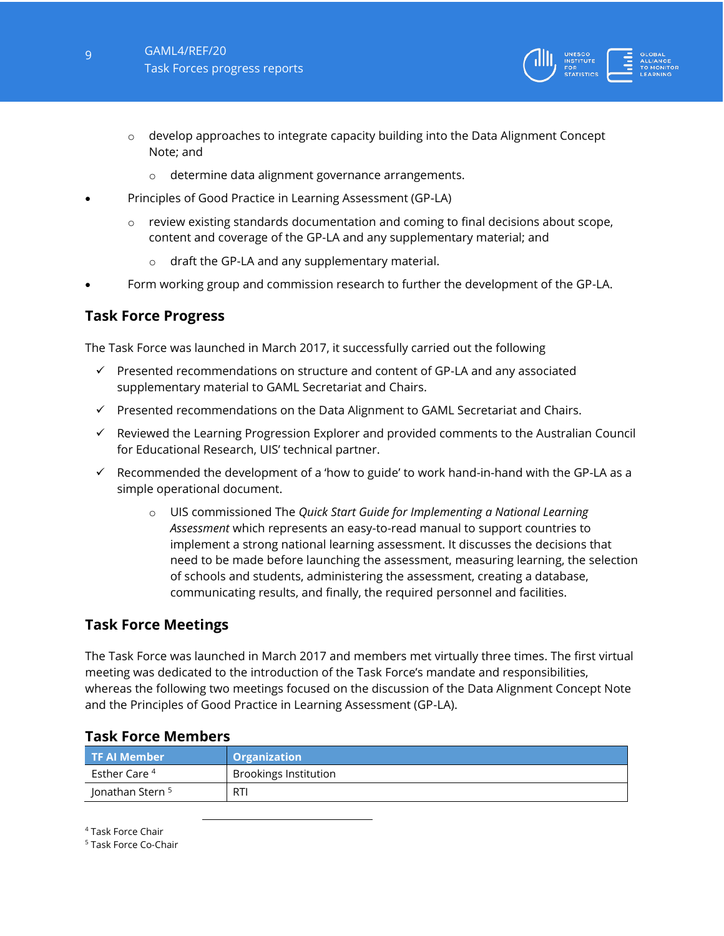

- $\circ$  develop approaches to integrate capacity building into the Data Alignment Concept Note; and
	- o determine data alignment governance arrangements.
- Principles of Good Practice in Learning Assessment (GP-LA)
	- $\circ$  review existing standards documentation and coming to final decisions about scope, content and coverage of the GP-LA and any supplementary material; and
		- o draft the GP-LA and any supplementary material.
- Form working group and commission research to further the development of the GP-LA.

## **Task Force Progress**

The Task Force was launched in March 2017, it successfully carried out the following

- $\checkmark$  Presented recommendations on structure and content of GP-LA and any associated supplementary material to GAML Secretariat and Chairs.
- $\checkmark$  Presented recommendations on the Data Alignment to GAML Secretariat and Chairs.
- $\checkmark$  Reviewed the Learning Progression Explorer and provided comments to the Australian Council for Educational Research, UIS' technical partner.
- $\checkmark$  Recommended the development of a 'how to guide' to work hand-in-hand with the GP-LA as a simple operational document.
	- o UIS commissioned The *Quick Start Guide for Implementing a National Learning Assessment* which represents an easy-to-read manual to support countries to implement a strong national learning assessment. It discusses the decisions that need to be made before launching the assessment, measuring learning, the selection of schools and students, administering the assessment, creating a database, communicating results, and finally, the required personnel and facilities.

## **Task Force Meetings**

The Task Force was launched in March 2017 and members met virtually three times. The first virtual meeting was dedicated to the introduction of the Task Force's mandate and responsibilities, whereas the following two meetings focused on the discussion of the Data Alignment Concept Note and the Principles of Good Practice in Learning Assessment (GP-LA).

| l TF Al Member '         | <b>Organization</b>          |
|--------------------------|------------------------------|
| Esther Care <sup>4</sup> | <b>Brookings Institution</b> |
| Jonathan Stern 5         | <b>RTI</b>                   |

## **Task Force Members**

l

<sup>4</sup> Task Force Chair

<sup>5</sup> Task Force Co-Chair